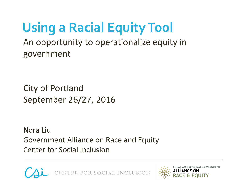An opportunity to operationalize equity in government **Using a Racial Equity Tool**

City of Portland September 26/27, 2016

Nora Liu Government Alliance on Race and Equity Center for Social Inclusion



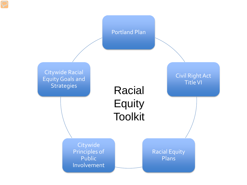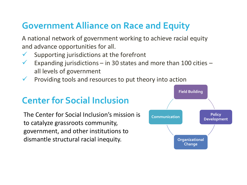#### **Government Alliance on Race and Equity**

A national network of government working to achieve racial equity and advance opportunities for all.

- Supporting jurisdictions at the forefront
- Expanding jurisdictions in 30 states and more than 100 cities all levels of government
- Providing tools and resources to put theory into action

#### **Center for Social Inclusion**

The Center for Social Inclusion's mission is to catalyze grassroots community, government, and other institutions to dismantle structural racial inequity.

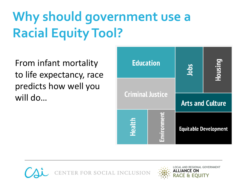# **Why should government use a Racial Equity Tool?**

From infant mortality to life expectancy, race predicts how well you will do…





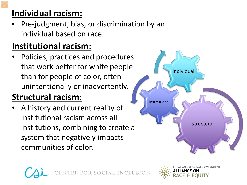#### **Individual racism:**

• Pre-judgment, bias, or discrimination by an individual based on race.

#### **Institutional racism:**

• Policies, practices and procedures that work better for white people than for people of color, often unintentionally or inadvertently.

#### **Structural racism:**

• A history and current reality of institutional racism across all institutions, combining to create a system that negatively impacts communities of color.



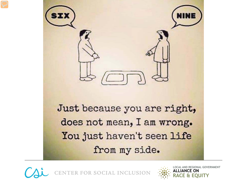



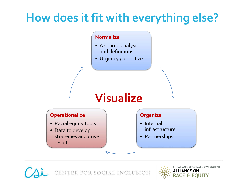## **How does it fit with everything else?**

#### **Normalize**

- A shared analysis and definitions
- Urgency / prioritize

#### **Visualize**





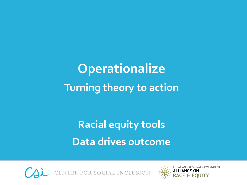# **Operationalize Turning theory to action**

## **Racial equity tools Data drives outcome**



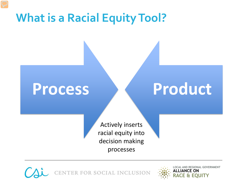## **What is a Racial Equity Tool?**

# **Process Product**

Actively inserts racial equity into decision making processes



**LOCAL AND REGIONAL GOVERNMENT ALLIANCE ON RACE & EQUITY**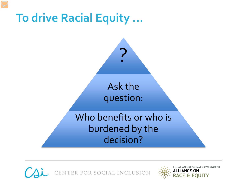



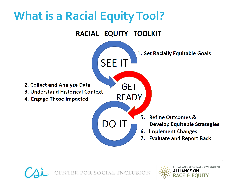## **What is a Racial Equity Tool?**





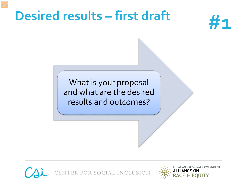## **Desired results – first draft**



What is your proposal and what are the desired results and outcomes?



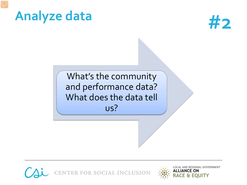



What's the community and performance data? What does the data tell us?



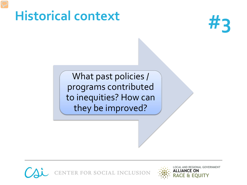## **#3 Historical context**



What past policies / programs contributed to inequities? How can they be improved?



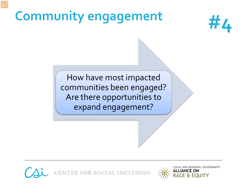## **#4 Community engagement**



How have most impacted communities been engaged? Are there opportunities to expand engagement?



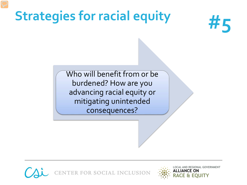# Strategies for racial equity<br>  $\#$



Who will benefit from or be burdened? How are you advancing racial equity or mitigating unintended consequences?



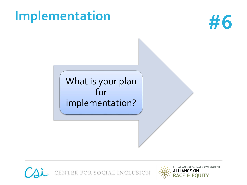# **#6 Implementation**



#### What is your plan for implementation?



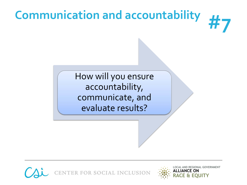## **Communication and accountability**



How will you ensure accountability, communicate, and evaluate results?



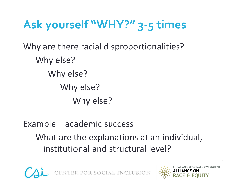## **Ask yourself "WHY?" 3-5 times**

Why are there racial disproportionalities? Why else? Why else? Why else? Why else?

Example – academic success

What are the explanations at an individual, institutional and structural level?



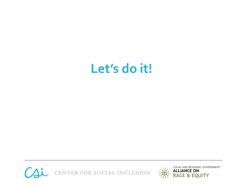## **Let's do it!**



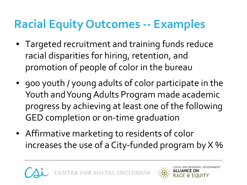## **Racial Equity Outcomes -- Examples**

- Targeted recruitment and training funds reduce racial disparities for hiring, retention, and promotion of people of color in the bureau
- goo youth / young adults of color participate in the Youth and Young Adults Program made academic progress by achieving at least one of the following GED completion or on-time graduation
- Affirmative marketing to residents of color increases the use of a City-funded program by  $X$  %

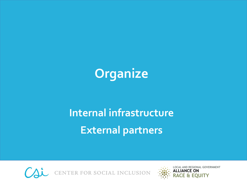

## **Internal infrastructure External partners**



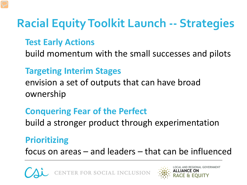## **Racial Equity Toolkit Launch -- Strategies**

#### **Test Early Actions**

build momentum with the small successes and pilots

#### **Targeting Interim Stages**

envision a set of outputs that can have broad ownership

#### **Conquering Fear of the Perfect**

build a stronger product through experimentation

#### **Prioritizing**

focus on areas – and leaders – that can be influenced



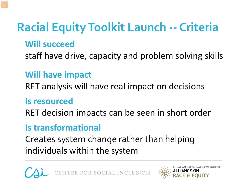## **Racial Equity Toolkit Launch -- Criteria**

#### **Will succeed**

staff have drive, capacity and problem solving skills

#### **Will have impact**

RET analysis will have real impact on decisions

#### **Is resourced**

RET decision impacts can be seen in short order

#### **Is transformational**

Creates system change rather than helping individuals within the system



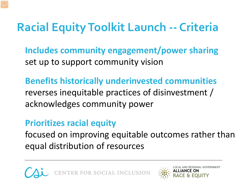## **Racial Equity Toolkit Launch -- Criteria**

**Includes community engagement/power sharing** set up to support community vision

**Benefits historically underinvested communities** reverses inequitable practices of disinvestment / acknowledges community power

#### **Prioritizes racial equity**

focused on improving equitable outcomes rather than equal distribution of resources



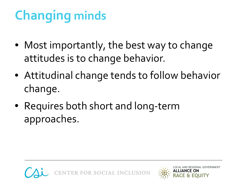# **Changing minds**

- Most importantly, the best way to change attitudes is to change behavior.
- Attitudinal change tends to follow behavior change.
- Requires both short and long-term approaches.



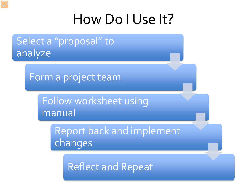## How Do I Use It?

Select a "proposal" to analyze

Form a project team

Follow worksheet using manual

> Report back and implement changes

Reflect and Repeat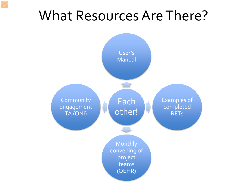## What Resources Are There?